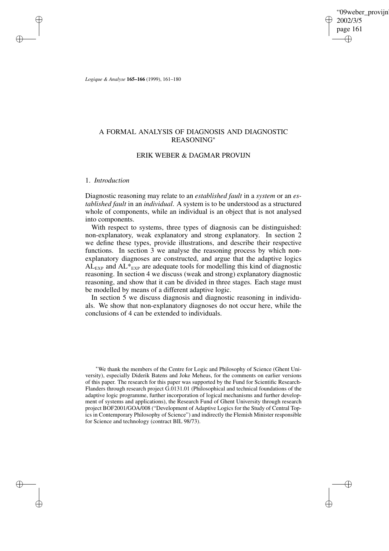'09weber provijn 2002/3/5 page 161 ✐ ✐

✐

✐

*Logique & Analyse* **165–166** (1999), 161–180

# A FORMAL ANALYSIS OF DIAGNOSIS AND DIAGNOSTIC REASONING<sup>∗</sup>

# ERIK WEBER & DAGMAR PROVIJN

# 1. *Introduction*

✐

✐

✐

✐

Diagnostic reasoning may relate to an *established fault* in a *system* or an *established fault* in an *individual*. A system is to be understood as a structured whole of components, while an individual is an object that is not analysed into components.

With respect to systems, three types of diagnosis can be distinguished: non-explanatory, weak explanatory and strong explanatory. In section 2 we define these types, provide illustrations, and describe their respective functions. In section 3 we analyse the reasoning process by which nonexplanatory diagnoses are constructed, and argue that the adaptive logics  $AL_{EXP}$  and  $AL*_{EXP}$  are adequate tools for modelling this kind of diagnostic reasoning. In section 4 we discuss (weak and strong) explanatory diagnostic reasoning, and show that it can be divided in three stages. Each stage must be modelled by means of a different adaptive logic.

In section 5 we discuss diagnosis and diagnostic reasoning in individuals. We show that non-explanatory diagnoses do not occur here, while the conclusions of 4 can be extended to individuals.

<sup>∗</sup>We thank the members of the Centre for Logic and Philosophy of Science (Ghent University), especially Diderik Batens and Joke Meheus, for the comments on earlier versions of this paper. The research for this paper was supported by the Fund for Scientific Research-Flanders through research project G.0131.01 (Philosophical and technical foundations of the adaptive logic programme, further incorporation of logical mechanisms and further development of systems and applications), the Research Fund of Ghent University through research project BOF2001/GOA/008 ("Development of Adaptive Logics for the Study of Central Topics in Contemporary Philosophy of Science") and indirectly the Flemish Minister responsible for Science and technology (contract BIL 98/73).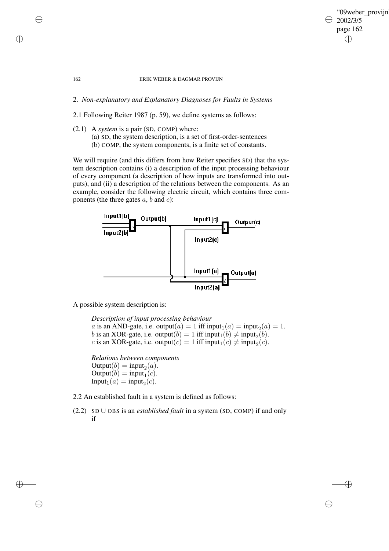## 162 ERIK WEBER & DAGMAR PROVIJN

"09weber\_provijn"

2002/3/5 page 162

✐

✐

✐

✐

2. *Non-explanatory and Explanatory Diagnoses for Faults in Systems*

2.1 Following Reiter 1987 (p. 59), we define systems as follows:

(2.1) A *system* is a pair (SD, COMP) where:

✐

✐

✐

✐

(a) SD, the system description, is a set of first-order-sentences

(b) COMP, the system components, is a finite set of constants.

We will require (and this differs from how Reiter specifies SD) that the system description contains (i) a description of the input processing behaviour of every component (a description of how inputs are transformed into outputs), and (ii) a description of the relations between the components. As an example, consider the following electric circuit, which contains three components (the three gates  $a$ ,  $b$  and  $c$ ):



A possible system description is:

```
Description of input processing behaviour
a is an AND-gate, i.e. output(a) = 1 iff input<sub>1</sub>(a) = \text{input}_2(a) = 1.
b is an XOR-gate, i.e. output(b) = 1 iff input_1(b) \neq \text{input}_2(b).
c is an XOR-gate, i.e. output(c) = 1 iff input_1(c) \neq \text{input}_2(c).
```
*Relations between components*  $Output(b) = input_2(a)$ .  $Output(b) = input_1(c)$ .  $Input_1(a) = input_2(c)$ .

2.2 An established fault in a system is defined as follows:

(2.2) SD ∪ OBS is an *established fault* in a system (SD, COMP) if and only if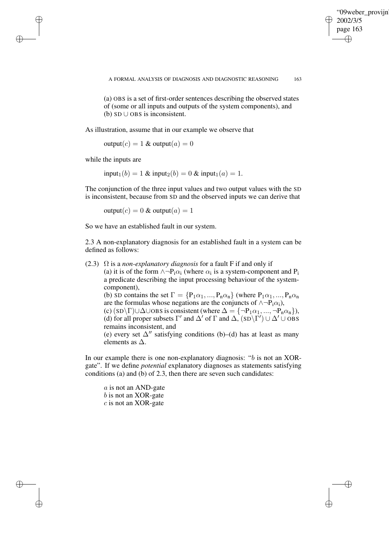"09weber\_provijn" 2002/3/5 page 163 ✐ ✐

✐

✐

A FORMAL ANALYSIS OF DIAGNOSIS AND DIAGNOSTIC REASONING 163

(a) OBS is a set of first-order sentences describing the observed states of (some or all inputs and outputs of the system components), and (b) SD ∪ OBS is inconsistent.

As illustration, assume that in our example we observe that

 $output(c) = 1$  & output $(a) = 0$ 

while the inputs are

✐

✐

✐

✐

 $input_1(b) = 1 \& input_2(b) = 0 \& input_1(a) = 1.$ 

The conjunction of the three input values and two output values with the SD is inconsistent, because from SD and the observed inputs we can derive that

 $output(c) = 0$  & output $(a) = 1$ 

So we have an established fault in our system.

2.3 A non-explanatory diagnosis for an established fault in a system can be defined as follows:

(2.3) Ω is a *non-explanatory diagnosis* for a fault F if and only if (a) it is of the form  $\land \neg P_i \alpha_i$  (where  $\alpha_i$  is a system-component and  $P_i$ a predicate describing the input processing behaviour of the systemcomponent),

(b) SD contains the set  $\Gamma = \{P_1\alpha_1, ..., P_n\alpha_n\}$  (where  $P_1\alpha_1, ..., P_n\alpha_n$ are the formulas whose negations are the conjuncts of  $\land \neg P_i \alpha_i$ ),

(c)  $(SD\backslash\Gamma) \cup \Delta \cup$ OBS is consistent (where  $\Delta = {\neg P_1 \alpha_1, ..., \neg P_n \alpha_n}$ ), (d) for all proper subsets  $\Gamma'$  and  $\Delta'$  of  $\Gamma$  and  $\Delta$ ,  $(SD\Gamma') \cup \Delta' \cup OS$ remains inconsistent, and

(e) every set  $\Delta$ <sup>*n*</sup> satisfying conditions (b)–(d) has at least as many elements as  $\Delta$ .

In our example there is one non-explanatory diagnosis: "b is not an XORgate". If we define *potential* explanatory diagnoses as statements satisfying conditions (a) and (b) of 2.3, then there are seven such candidates:

a is not an AND-gate b is not an XOR-gate c is not an XOR-gate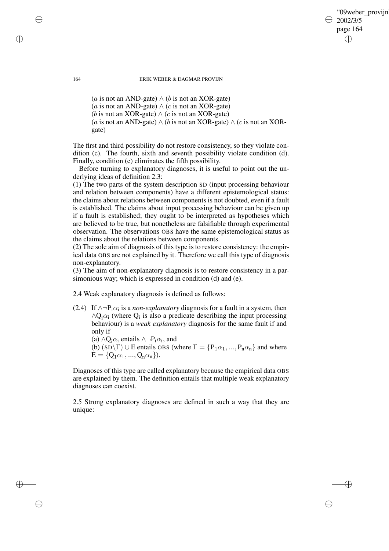# "09weber\_provijn" 2002/3/5 page 164 ✐ ✐

✐

✐

## 164 ERIK WEBER & DAGMAR PROVIJN

(*a* is not an AND-gate)  $\land$  (*b* is not an XOR-gate) (*a* is not an AND-gate)  $\wedge$  (*c* is not an XOR-gate) (b is not an XOR-gate)  $\wedge$  (c is not an XOR-gate) (a is not an AND-gate)  $\wedge$  (b is not an XOR-gate)  $\wedge$  (c is not an XORgate)

The first and third possibility do not restore consistency, so they violate condition (c). The fourth, sixth and seventh possibility violate condition (d). Finally, condition (e) eliminates the fifth possibility.

Before turning to explanatory diagnoses, it is useful to point out the underlying ideas of definition 2.3:

(1) The two parts of the system description SD (input processing behaviour and relation between components) have a different epistemological status: the claims about relations between components is not doubted, even if a fault is established. The claims about input processing behaviour can be given up if a fault is established; they ought to be interpreted as hypotheses which are believed to be true, but nonetheless are falsifiable through experimental observation. The observations OBS have the same epistemological status as the claims about the relations between components.

(2) The sole aim of diagnosis of this type is to restore consistency: the empirical data OBS are not explained by it. Therefore we call this type of diagnosis non-explanatory.

(3) The aim of non-explanatory diagnosis is to restore consistency in a parsimonious way; which is expressed in condition (d) and (e).

2.4 Weak explanatory diagnosis is defined as follows:

(2.4) If  $\wedge \neg P_i \alpha_i$  is a *non-explanatory* diagnosis for a fault in a system, then  $\wedge Q_i \alpha_i$  (where  $Q_i$  is also a predicate describing the input processing behaviour) is a *weak explanatory* diagnosis for the same fault if and only if

(a)  $\wedge Q_i \alpha_i$  entails  $\wedge \neg P_i \alpha_i$ , and

(b)  $(SD\Gamma) \cup E$  entails OBS (where  $\Gamma = \{P_1\alpha_1, ..., P_n\alpha_n\}$  and where  $E = \{Q_1 \alpha_1, ..., Q_n \alpha_n\}.$ 

Diagnoses of this type are called explanatory because the empirical data OBS are explained by them. The definition entails that multiple weak explanatory diagnoses can coexist.

2.5 Strong explanatory diagnoses are defined in such a way that they are unique:

✐

✐

✐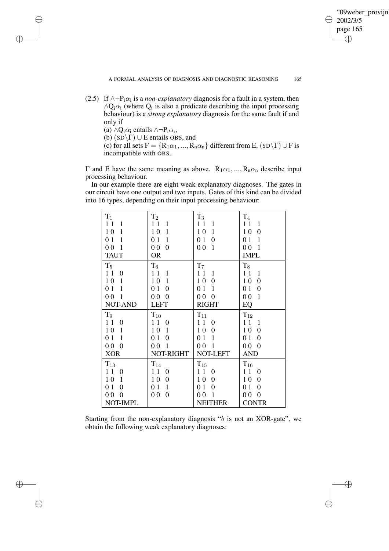"09weber\_provijn" 2002/3/5 page 165 ✐ ✐

 $\bigoplus$ 

✐

(2.5) If  $\land \neg P_i \alpha_i$  is a *non-explanatory* diagnosis for a fault in a system, then  $\wedge Q_i \alpha_i$  (where  $Q_i$  is also a predicate describing the input processing behaviour) is a *strong explanatory* diagnosis for the same fault if and only if

(a)  $\wedge Q_i \alpha_i$  entails  $\wedge \neg P_i \alpha_i$ ,

✐

✐

✐

✐

(b)  $(SD\Gamma) \cup E$  entails OBS, and

(c) for all sets  $F = \{R_1\alpha_1, ..., R_n\alpha_n\}$  different from E,  $(SD\Gamma) \cup F$  is incompatible with OBS.

Γ and E have the same meaning as above.  $R_1α_1, ..., R_nα_n$  describe input processing behaviour.

In our example there are eight weak explanatory diagnoses. The gates in our circuit have one output and two inputs. Gates of this kind can be divided into 16 types, depending on their input processing behaviour:

| $T_1$            | $\mathrm{T}_2$    | $T_3$             | $\mathrm{T}_4$    |
|------------------|-------------------|-------------------|-------------------|
| $\mathbf{1}$     | 11                | 11                | 11                |
| 11               | $\mathbf{1}$      | $\mathbf{1}$      | 1                 |
| 10               | 10                | 10                | 1 <sub>0</sub>    |
| $\mathbf{1}$     | $\mathbf{1}$      | $\mathbf{1}$      | 0                 |
| 0 <sub>1</sub>   | 0 <sub>1</sub>    | 0 <sub>1</sub>    | 01                |
| $\mathbf{1}$     | $\mathbf{1}$      | $\boldsymbol{0}$  | 1                 |
| $\mathbf{1}$     | 0 <sub>0</sub>    | 0 <sub>0</sub>    | $\mathbf{1}$      |
| 0 <sub>0</sub>   | $\boldsymbol{0}$  | $\mathbf{1}$      | 0 <sub>0</sub>    |
| <b>TAUT</b>      | <b>OR</b>         |                   | <b>IMPL</b>       |
| $T_5$            | $\mathrm{T}_6$    | $\rm T_7$         | $\rm T_8$         |
| 11               | 11                | $\mathbf{1}$      | 11                |
| $\boldsymbol{0}$ | $\mathbf{1}$      | 11                | $\mathbf{1}$      |
| 10               | 10                | 10                | 10                |
| $\mathbf{1}$     | $\mathbf{1}$      | $\boldsymbol{0}$  | $\boldsymbol{0}$  |
| 0 <sub>1</sub>   | 01                | 0 <sub>1</sub>    | 01                |
| $\mathbf{1}$     | $\boldsymbol{0}$  | $\mathbf{1}$      | $\boldsymbol{0}$  |
| 0 <sub>0</sub>   | 0 <sub>0</sub>    | 0 <sub>0</sub>    | $\mathbf{1}$      |
| $\mathbf{1}$     | $\overline{0}$    | $\boldsymbol{0}$  | 0 <sub>0</sub>    |
| <b>NOT-AND</b>   | <b>LEFT</b>       | <b>RIGHT</b>      | EQ                |
| $T_9$            | $\rm T_{10}$      | $\mathrm{T}_{11}$ | $\mathrm{T}_{12}$ |
| 11               | 11                | 11                | 11                |
| $\boldsymbol{0}$ | $\boldsymbol{0}$  | $\boldsymbol{0}$  | 1                 |
| 10               | 10                | 10                | 1 <sub>0</sub>    |
| $\mathbf{1}$     | 1                 | $\boldsymbol{0}$  | 0                 |
| 0 <sub>1</sub>   | 0 <sub>1</sub>    | 0 <sub>1</sub>    | 0 1               |
| $\mathbf{1}$     | $\overline{0}$    | $\mathbf{1}$      | $\boldsymbol{0}$  |
| 0 <sub>0</sub>   | 0 <sub>0</sub>    | 0 <sub>0</sub>    | 0 <sub>0</sub>    |
| $\boldsymbol{0}$ | $\mathbf{1}$      | $\mathbf{1}$      | $\boldsymbol{0}$  |
| <b>XOR</b>       | NOT-RIGHT         | NOT-LEFT          | <b>AND</b>        |
| $T_{13}$         | $\mathrm{T}_{14}$ | $\mathrm{T_{15}}$ | $\mathrm{T}_{16}$ |
| 11               | $\boldsymbol{0}$  | 11                | 11                |
| $\overline{0}$   | 11                | $\boldsymbol{0}$  | $\boldsymbol{0}$  |
| 10               | 10                | 10                | 10                |
| $\mathbf{1}$     | $\boldsymbol{0}$  | $\boldsymbol{0}$  | $\boldsymbol{0}$  |
| $\boldsymbol{0}$ | $\mathbf{1}$      | 0 <sub>1</sub>    | $\boldsymbol{0}$  |
| 01               | 01                | $\boldsymbol{0}$  | 01                |
| 0 <sub>0</sub>   | 0 <sub>0</sub>    | 0 <sub>0</sub>    | 0 <sub>0</sub>    |
| $\boldsymbol{0}$ | $\overline{0}$    | $\mathbf{1}$      | $\boldsymbol{0}$  |
| NOT-IMPL         |                   | <b>NEITHER</b>    | <b>CONTR</b>      |

Starting from the non-explanatory diagnosis " $b$  is not an XOR-gate", we obtain the following weak explanatory diagnoses: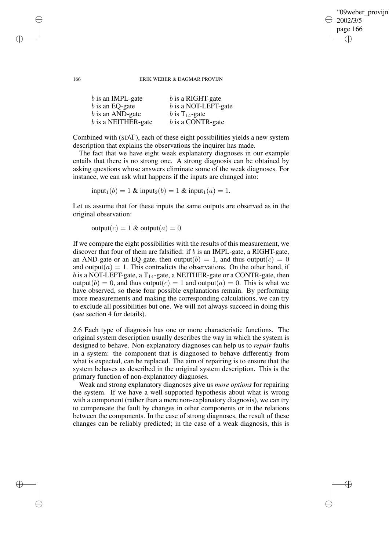# "09weber\_provijn" 2002/3/5 page 166 ✐ ✐

✐

✐

## 166 ERIK WEBER & DAGMAR PROVIJN

| $b$ is an IMPL-gate | $b$ is a RIGHT-gate    |
|---------------------|------------------------|
| $b$ is an EQ-gate   | $b$ is a NOT-LEFT-gate |
| $b$ is an AND-gate  | b is $T_{14}$ -gate    |
| b is a NEITHER-gate | $b$ is a CONTR-gate    |

Combined with (SD\Γ), each of these eight possibilities yields a new system description that explains the observations the inquirer has made.

The fact that we have eight weak explanatory diagnoses in our example entails that there is no strong one. A strong diagnosis can be obtained by asking questions whose answers eliminate some of the weak diagnoses. For instance, we can ask what happens if the inputs are changed into:

 $input_1(b) = 1 \& input_2(b) = 1 \& input_1(a) = 1.$ 

Let us assume that for these inputs the same outputs are observed as in the original observation:

 $output(c) = 1$  & output $(a) = 0$ 

If we compare the eight possibilities with the results of this measurement, we discover that four of them are falsified: if  $b$  is an IMPL-gate, a RIGHT-gate, an AND-gate or an EQ-gate, then output(b) = 1, and thus output(c) = 0 and output( $a$ ) = 1. This contradicts the observations. On the other hand, if b is a NOT-LEFT-gate, a  $T_{14}$ -gate, a NEITHER-gate or a CONTR-gate, then output(b) = 0, and thus output(c) = 1 and output(a) = 0. This is what we have observed, so these four possible explanations remain. By performing more measurements and making the corresponding calculations, we can try to exclude all possibilities but one. We will not always succeed in doing this (see section 4 for details).

2.6 Each type of diagnosis has one or more characteristic functions. The original system description usually describes the way in which the system is designed to behave. Non-explanatory diagnoses can help us to *repair* faults in a system: the component that is diagnosed to behave differently from what is expected, can be replaced. The aim of repairing is to ensure that the system behaves as described in the original system description. This is the primary function of non-explanatory diagnoses.

Weak and strong explanatory diagnoses give us *more options* for repairing the system. If we have a well-supported hypothesis about what is wrong with a component (rather than a mere non-explanatory diagnosis), we can try to compensate the fault by changes in other components or in the relations between the components. In the case of strong diagnoses, the result of these changes can be reliably predicted; in the case of a weak diagnosis, this is

✐

✐

✐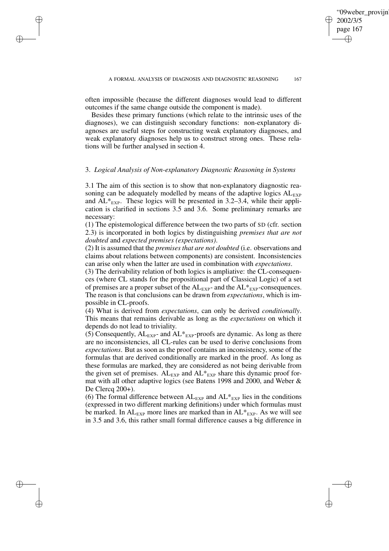✐

often impossible (because the different diagnoses would lead to different outcomes if the same change outside the component is made).

✐

✐

✐

✐

Besides these primary functions (which relate to the intrinsic uses of the diagnoses), we can distinguish secondary functions: non-explanatory diagnoses are useful steps for constructing weak explanatory diagnoses, and weak explanatory diagnoses help us to construct strong ones. These relations will be further analysed in section 4.

# 3. *Logical Analysis of Non-explanatory Diagnostic Reasoning in Systems*

3.1 The aim of this section is to show that non-explanatory diagnostic reasoning can be adequately modelled by means of the adaptive logics  $AL_{EXP}$ and  $AL*_{EXP}$ . These logics will be presented in 3.2–3.4, while their application is clarified in sections 3.5 and 3.6. Some preliminary remarks are necessary:

(1) The epistemological difference between the two parts of SD (cfr. section 2.3) is incorporated in both logics by distinguishing *premises that are not doubted* and *expected premises (expectations)*.

(2) It is assumed that the *premises that are not doubted* (i.e. observations and claims about relations between components) are consistent. Inconsistencies can arise only when the latter are used in combination with *expectations*.

(3) The derivability relation of both logics is ampliative: the CL-consequences (where CL stands for the propositional part of Classical Logic) of a set of premises are a proper subset of the  $AL_{EXP}$ - and the  $AL*_{EXP}$ -consequences. The reason is that conclusions can be drawn from *expectations*, which is impossible in CL-proofs.

(4) What is derived from *expectations*, can only be derived *conditionally*. This means that remains derivable as long as the *expectations* on which it depends do not lead to triviality.

(5) Consequently,  $AL_{EXP}$ - and  $AL*_{EXP}$ -proofs are dynamic. As long as there are no inconsistencies, all CL-rules can be used to derive conclusions from *expectations*. But as soon as the proof contains an inconsistency, some of the formulas that are derived conditionally are marked in the proof. As long as these formulas are marked, they are considered as not being derivable from the given set of premises.  $AL_{EXP}$  and  $AL*_{EXP}$  share this dynamic proof format with all other adaptive logics (see Batens 1998 and 2000, and Weber & De Clercq 200+).

(6) The formal difference between  $AL_{EXP}$  and  $AL_{EXP}^*$  lies in the conditions (expressed in two different marking definitions) under which formulas must be marked. In  $AL_{EXP}$  more lines are marked than in  $AL*_{EXP}$ . As we will see in 3.5 and 3.6, this rather small formal difference causes a big difference in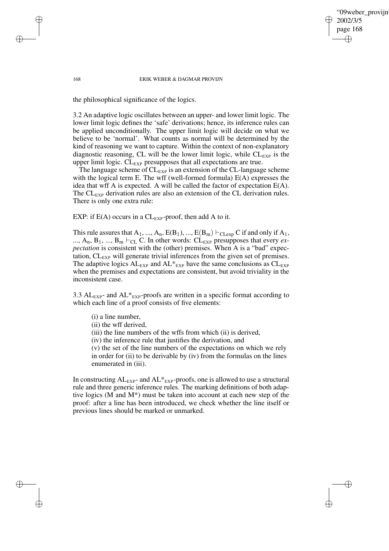# "09weber\_provijn" 2002/3/5 page 168 ✐ ✐

✐

✐

### 168 ERIK WEBER & DAGMAR PROVIJN

the philosophical significance of the logics.

3.2 An adaptive logic oscillates between an upper- and lower limit logic. The lower limit logic defines the 'safe' derivations; hence, its inference rules can be applied unconditionally. The upper limit logic will decide on what we believe to be 'normal'. What counts as normal will be determined by the kind of reasoning we want to capture. Within the context of non-explanatory diagnostic reasoning, CL will be the lower limit logic, while  $CL_{EXP}$  is the upper limit logic.  $CL_{EXP}$  presupposes that all expectations are true.

The language scheme of  $CL_{EXP}$  is an extension of the CL-language scheme with the logical term E. The wff (well-formed formula) E(A) expresses the idea that wff A is expected. A will be called the factor of expectation E(A). The  $CL_{EXP}$  derivation rules are also an extension of the CL derivation rules. There is only one extra rule:

EXP: if  $E(A)$  occurs in a  $CL_{EXP}$ -proof, then add A to it.

This rule assures that  $A_1, ..., A_n$ ,  $E(B_1), ..., E(B_m) \vdash_{CLexp} C$  if and only if  $A_1$ , ...,  $A_n$ ,  $B_1$ , ...,  $B_m \vdash_{CL} C$ . In other words:  $CL_{EXP}$  presupposes that every *expectation* is consistent with the (other) premises. When A is a "bad" expectation,  $CL_{EXP}$  will generate trivial inferences from the given set of premises. The adaptive logics  $AL_{EXP}$  and  $AL*_{EXP}$  have the same conclusions as  $CL_{EXP}$ when the premises and expectations are consistent, but avoid triviality in the inconsistent case.

3.3  $AL_{EXP}$ - and  $AL*_{EXP}$ -proofs are written in a specific format according to which each line of a proof consists of five elements:

(i) a line number,

(ii) the wff derived,

(iii) the line numbers of the wffs from which (ii) is derived,

(iv) the inference rule that justifies the derivation, and

(v) the set of the line numbers of the expectations on which we rely in order for (ii) to be derivable by (iv) from the formulas on the lines enumerated in (iii).

In constructing  $AL_{EXP}$ - and  $AL*_{EXP}$ -proofs, one is allowed to use a structural rule and three generic inference rules. The marking definitions of both adaptive logics (M and M\*) must be taken into account at each new step of the proof: after a line has been introduced, we check whether the line itself or previous lines should be marked or unmarked.

✐

✐

✐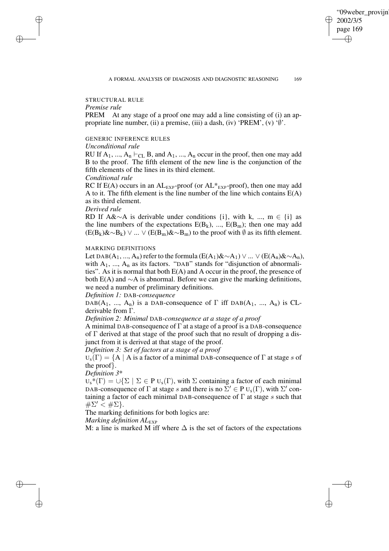✐

# STRUCTURAL RULE

*Premise rule*

✐

✐

✐

✐

PREM At any stage of a proof one may add a line consisting of (i) an appropriate line number, (ii) a premise, (iii) a dash, (iv) ' $PREM$ ', (v) ' $\emptyset$ '.

# GENERIC INFERENCE RULES

# *Unconditional rule*

RU If  $A_1$ , ...,  $A_n \vdash_{CL} B$ , and  $A_1$ , ...,  $A_n$  occur in the proof, then one may add B to the proof. The fifth element of the new line is the conjunction of the fifth elements of the lines in its third element.

# *Conditional rule*

RC If  $E(A)$  occurs in an  $AL_{EXP}$ -proof (or  $AL*_{EXP}$ -proof), then one may add A to it. The fifth element is the line number of the line which contains  $E(A)$ as its third element.

*Derived rule*

RD If A&∼A is derivable under conditions {i}, with k, ..., m  $\in$  {i} as the line numbers of the expectations  $E(B_k)$ , ...,  $E(B_m)$ ; then one may add  $(E(B_k)\&\sim B_k)$  ∨ ... ∨  $(E(B_m)\&\sim B_m)$  to the proof with  $\emptyset$  as its fifth element.

# MARKING DEFINITIONS

Let DAB(A<sub>1</sub>, ..., A<sub>n</sub>) refer to the formula (E(A<sub>1</sub>)&∼A<sub>1</sub>) ∨ ... ∨ (E(A<sub>n</sub>)&∼A<sub>n</sub>), with  $A_1$ , ...,  $A_n$  as its factors. "DAB" stands for "disjunction of abnormalities". As it is normal that both E(A) and A occur in the proof, the presence of both E(A) and ∼A is abnormal. Before we can give the marking definitions, we need a number of preliminary definitions.

*Definition 1:* DAB*-consequence*

DAB( $A_1$ , ...,  $A_n$ ) is a DAB-consequence of  $\Gamma$  iff DAB( $A_1$ , ...,  $A_n$ ) is CLderivable from Γ.

*Definition 2: Minimal* DAB*-consequence at a stage of a proof*

A minimal DAB-consequence of  $\Gamma$  at a stage of a proof is a DAB-consequence of Γ derived at that stage of the proof such that no result of dropping a disjunct from it is derived at that stage of the proof.

*Definition 3: Set of factors at a stage of a proof*

 $U_s(\Gamma) = \{A \mid A \text{ is a factor of a minimal DAB-consequence of } \Gamma \text{ at stage } s \text{ of } \Gamma \}$ the proof}.

*Definition 3*\*

 $U_s^*(\Gamma) = \bigcup \{\Sigma \mid \Sigma \in P \cup_s(\Gamma), \text{ with } \Sigma \text{ containing a factor of each minimal }\}$ DAB-consequence of  $\Gamma$  at stage s and there is no  $\Sigma' \in P \cup_s(\Gamma)$ , with  $\Sigma'$  containing a factor of each minimal DAB-consequence of  $\Gamma$  at stage s such that  $\#\Sigma' < \#\Sigma$ .

The marking definitions for both logics are:

*Marking definition AL*EXP

M: a line is marked M iff where  $\Delta$  is the set of factors of the expectations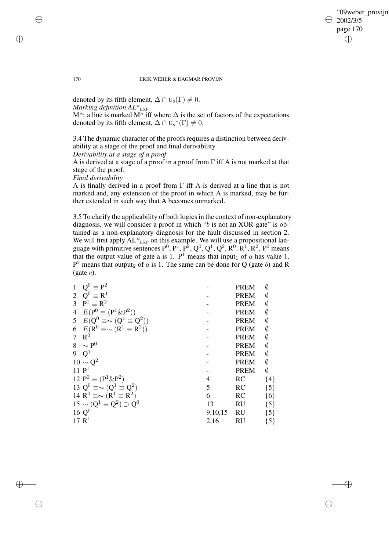✐

## 170 ERIK WEBER & DAGMAR PROVIJN

denoted by its fifth element,  $\Delta \cap U_s(\Gamma) \neq 0$ .

*Marking definition*  $AL*_{EXP}$ 

✐

✐

✐

✐

M\*: a line is marked M\* iff where  $\Delta$  is the set of factors of the expectations denoted by its fifth element,  $\Delta \cap U_s^*(\Gamma) \neq 0$ .

3.4 The dynamic character of the proofs requires a distinction between derivability at a stage of the proof and final derivability.

*Derivability at a stage of a proof*

A is derived at a stage of a proof in a proof from Γ iff A is not marked at that stage of the proof.

*Final derivability*

A is finally derived in a proof from  $\Gamma$  iff A is derived at a line that is not marked and, any extension of the proof in which A is marked, may be further extended in such way that A becomes unmarked.

3.5 To clarify the applicability of both logics in the context of non-explanatory diagnosis, we will consider a proof in which "b is not an XOR-gate" is obtained as a non-explanatory diagnosis for the fault discussed in section 2. We will first apply  $AL*_{EXP}$  on this example. We will use a propositional language with primitive sentences  $P^0$ ,  $P^1$ ,  $P^2$ ,  $Q^0$ ,  $Q^1$ ,  $Q^2$ ,  $R^0$ ,  $R^1$ ,  $R^2$ .  $P^0$  means that the output-value of gate a is 1.  $P<sup>1</sup>$  means that input<sub>1</sub> of a has value 1.  $P<sup>2</sup>$  means that output<sub>2</sub> of a is 1. The same can be done for Q (gate b) and R  $(gate c).$ 

|                   | $Q^0 \equiv P^2$                                 |         | <b>PREM</b> | Ø     |
|-------------------|--------------------------------------------------|---------|-------------|-------|
| $\overline{2}$    | $Q^0 \equiv R^1$                                 |         | <b>PREM</b> |       |
| 3 <sup>1</sup>    | $P^1 \equiv R^2$                                 |         | <b>PREM</b> |       |
| 4                 | $E(P^0 \equiv (P^1 \& P^2))$                     |         | <b>PREM</b> | Ø     |
| 5                 | $E(Q^0 \equiv \sim (Q^1 \equiv Q^2))$            |         | <b>PREM</b> |       |
| 6                 | $E(R^0 \equiv \sim (R^1 \equiv R^2))$            |         | <b>PREM</b> | Ø     |
| 7                 | $R^0$                                            |         | <b>PREM</b> | Ø     |
| 8                 | $\sim {\rm P}^0$                                 |         | <b>PREM</b> |       |
| 9                 | $\mathrm{Q}^1$                                   |         | <b>PREM</b> | Ø     |
|                   | $10 \sim Q^2$                                    |         | <b>PREM</b> | Ø     |
| 11P <sup>1</sup>  |                                                  |         | <b>PREM</b> | Ø     |
|                   | 12 $P^0 \equiv (P^1 \& P^2)$                     |         | <b>RC</b>   | ${4}$ |
|                   | 13 Q <sup>0</sup> $\equiv \sim (Q^1 \equiv Q^2)$ | 5       | <b>RC</b>   | ${5}$ |
|                   | 14 R <sup>0</sup> $\equiv \sim (R^1 \equiv R^2)$ | 6       | <b>RC</b>   | ${6}$ |
|                   | $15 \sim (Q^1 \equiv Q^2) \supset Q^0$           | 13      | <b>RU</b>   | ${5}$ |
|                   | 16 $Q0$                                          | 9,10,15 | <b>RU</b>   | ${5}$ |
| 17 R <sup>1</sup> |                                                  | 2,16    | <b>RU</b>   | ${5}$ |
|                   |                                                  |         |             |       |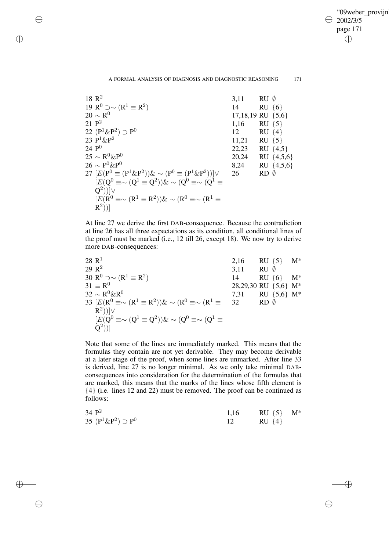"09weber\_provijn" 2002/3/5 page 171 ✐ ✐

 $\bigoplus$ 

✐

## A FORMAL ANALYSIS OF DIAGNOSIS AND DIAGNOSTIC REASONING 171

|          | 18 R <sup>2</sup>                                                                                                      | 3,11              | $RU$ $\emptyset$ |                |
|----------|------------------------------------------------------------------------------------------------------------------------|-------------------|------------------|----------------|
|          |                                                                                                                        |                   |                  |                |
|          | 19 R <sup>0</sup> $\supset \sim (R^1 \equiv R^2)$                                                                      | 14                | $RU {6}$         |                |
|          | $20 \sim R^{0}$                                                                                                        | 17,18,19 RU {5,6} |                  |                |
| 21 $P^2$ |                                                                                                                        | 1,16              | $RU {5}$         |                |
|          | 22 $(P^1 \& P^2) \supset P^0$                                                                                          | 12                | $RU$ {4}         |                |
|          | 23 $P^1$ & $P^2$                                                                                                       | 11,21             | $RU {5}$         |                |
| 24 $P^0$ |                                                                                                                        | 22,23             |                  | RU $\{4,5\}$   |
|          | $25 \sim R^0 \& P^0$                                                                                                   | 20,24             |                  | RU $\{4,5,6\}$ |
|          | $26 \sim P^0 \& P^0$                                                                                                   | 8,24              |                  | RU $\{4,5,6\}$ |
|          | 27 $[E(P^0 \equiv (P^1 \& P^2)) \& \sim (P^0 \equiv (P^1 \& P^2))] \vee$                                               | 26                | $RD$ $\emptyset$ |                |
|          | $[E(Q^0 \equiv \sim (Q^1 \equiv Q^2)) \& \sim (Q^0 \equiv \sim (Q^1 \equiv$                                            |                   |                  |                |
|          | $(Q^2)) \vee$                                                                                                          |                   |                  |                |
|          | $[E(\mathbf{R}^0 \equiv \sim (\mathbf{R}^1 \equiv \mathbf{R}^2))\&(sim (\mathbf{R}^0 \equiv \sim (\mathbf{R}^1 \equiv$ |                   |                  |                |
|          | $(R^{2})$ ]                                                                                                            |                   |                  |                |

✐

✐

✐

✐

At line 27 we derive the first DAB-consequence. Because the contradiction at line 26 has all three expectations as its condition, all conditional lines of the proof must be marked (i.e., 12 till 26, except 18). We now try to derive more DAB-consequences:

| 28 R <sup>1</sup> |                                                                               | 2,16                 | $RU$ {5}         |                             | $\mathrm{M}^*$ |
|-------------------|-------------------------------------------------------------------------------|----------------------|------------------|-----------------------------|----------------|
| 29 $R^2$          |                                                                               | 3,11                 | $RU$ $\emptyset$ |                             |                |
|                   | 30 R <sup>0</sup> $\supset \sim (R^1 \equiv R^2)$                             | 14                   | $RU$ {6}         |                             | $M^*$          |
|                   | $31 \equiv R^0$                                                               | 28,29,30 RU {5,6} M* |                  |                             |                |
|                   | $32 \sim R^0 \& R^0$                                                          | 7,31                 |                  | RU $\{5,6\}$ M <sup>*</sup> |                |
|                   | 33 $E(R^0 \equiv \sim (R^1 \equiv R^2)) \& \sim (R^0 \equiv \sim (R^1 \equiv$ | 32                   | $RD$ $\emptyset$ |                             |                |
|                   | $R^2$ ))   $\vee$                                                             |                      |                  |                             |                |
|                   | $[E(Q^0 \equiv \sim (Q^1 \equiv Q^2))\& \sim (Q^0 \equiv \sim (Q^1 \equiv$    |                      |                  |                             |                |
|                   |                                                                               |                      |                  |                             |                |

Note that some of the lines are immediately marked. This means that the formulas they contain are not yet derivable. They may become derivable at a later stage of the proof, when some lines are unmarked. After line 33 is derived, line 27 is no longer minimal. As we only take minimal DABconsequences into consideration for the determination of the formulas that are marked, this means that the marks of the lines whose fifth element is {4} (i.e. lines 12 and 22) must be removed. The proof can be continued as follows:

| $34 P^2$                      | 1.16 | $RU {5}$ $M^*$ |  |
|-------------------------------|------|----------------|--|
| 35 $(P^1 \& P^2) \supset P^0$ |      | RU {4}         |  |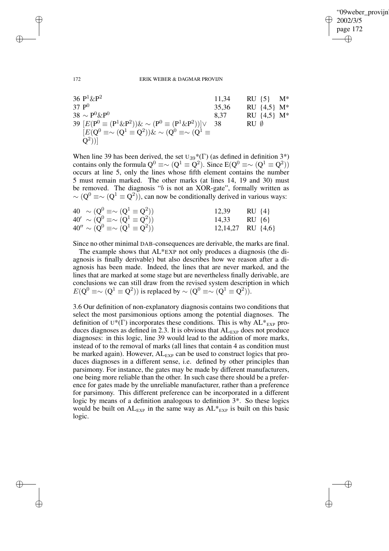✐

#### 172 ERIK WEBER & DAGMAR PROVIJN

| 36 $P^1$ & $P^2$                                                          | 11,34 | $M^*$<br>$RU$ {5}           |
|---------------------------------------------------------------------------|-------|-----------------------------|
| 37 $P^0$                                                                  | 35,36 | RU $\{4,5\}$ M <sup>*</sup> |
| $38 \sim P^{0} \& P^{0}$                                                  | 8,37  | RU $\{4,5\}$ M <sup>*</sup> |
| 39 $[E(P^0 \equiv (P^1 \& P^2)) \& \sim (P^0 \equiv (P^1 \& P^2))] \vee$  | -38   | $RU$ $\emptyset$            |
| $[E(Q^0 \equiv \sim (Q^1 \equiv Q^2))\<\sim (Q^0 \equiv \sim (Q^1 \equiv$ |       |                             |
| $O^2$ )                                                                   |       |                             |

When line 39 has been derived, the set  $U_{39}*(\Gamma)$  (as defined in definition 3\*) contains only the formula  $Q^0 \equiv \sim (Q^1 \equiv Q^2)$ . Since  $E(Q^0 \equiv \sim (Q^1 \equiv Q^2))$ occurs at line 5, only the lines whose fifth element contains the number 5 must remain marked. The other marks (at lines 14, 19 and 30) must be removed. The diagnosis "b is not an XOR-gate", formally written as  $\sim (Q^0 \equiv \sim (Q^1 \equiv Q^2))$ , can now be conditionally derived in various ways:

| 40 $\sim (Q^0 \equiv \sim (Q^1 \equiv Q^2))$   | 12,39              | $RU {4}$              |
|------------------------------------------------|--------------------|-----------------------|
| $40' \sim (Q^0 \equiv \sim (Q^1 \equiv Q^2))$  | $14.33$ RU $\{6\}$ |                       |
| $40'' \sim (Q^0 \equiv \sim (Q^1 \equiv Q^2))$ |                    | 12,14,27 RU $\{4,6\}$ |

Since no other minimal DAB-consequences are derivable, the marks are final.

The example shows that AL\*EXP not only produces a diagnosis (the diagnosis is finally derivable) but also describes how we reason after a diagnosis has been made. Indeed, the lines that are never marked, and the lines that are marked at some stage but are nevertheless finally derivable, are conclusions we can still draw from the revised system description in which  $E(Q^0 \equiv \sim (Q^1 \equiv Q^2))$  is replaced by  $\sim (Q^0 \equiv \sim (Q^1 \equiv Q^2)).$ 

3.6 Our definition of non-explanatory diagnosis contains two conditions that select the most parsimonious options among the potential diagnoses. The definition of  $U^*(\Gamma)$  incorporates these conditions. This is why  $AL^*_{EXP}$  produces diagnoses as defined in 2.3. It is obvious that  $AL_{EXP}$  does not produce diagnoses: in this logic, line 39 would lead to the addition of more marks, instead of to the removal of marks (all lines that contain 4 as condition must be marked again). However,  $AL_{EXP}$  can be used to construct logics that produces diagnoses in a different sense, i.e. defined by other principles than parsimony. For instance, the gates may be made by different manufacturers, one being more reliable than the other. In such case there should be a preference for gates made by the unreliable manufacturer, rather than a preference for parsimony. This different preference can be incorporated in a different logic by means of a definition analogous to definition 3\*. So these logics would be built on  $AL_{EXP}$  in the same way as  $AL*_{EXP}$  is built on this basic logic.

✐

✐

✐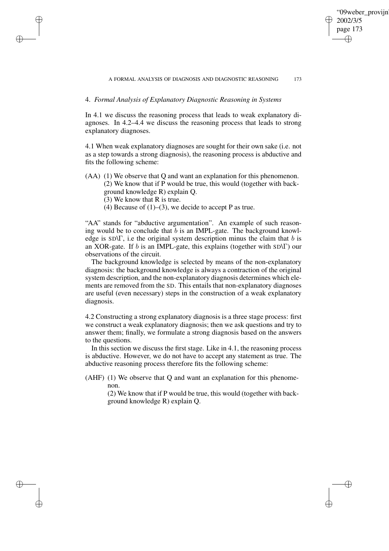✐

## A FORMAL ANALYSIS OF DIAGNOSIS AND DIAGNOSTIC REASONING 173

# 4. *Formal Analysis of Explanatory Diagnostic Reasoning in Systems*

In 4.1 we discuss the reasoning process that leads to weak explanatory diagnoses. In 4.2–4.4 we discuss the reasoning process that leads to strong explanatory diagnoses.

4.1 When weak explanatory diagnoses are sought for their own sake (i.e. not as a step towards a strong diagnosis), the reasoning process is abductive and fits the following scheme:

- (AA) (1) We observe that Q and want an explanation for this phenomenon. (2) We know that if P would be true, this would (together with background knowledge R) explain Q.
	- (3) We know that R is true.

✐

✐

✐

✐

(4) Because of  $(1)$ – $(3)$ , we decide to accept P as true.

"AA" stands for "abductive argumentation". An example of such reasoning would be to conclude that  $b$  is an IMPL-gate. The background knowledge is  $SD\Gamma$ , i.e the original system description minus the claim that b is an XOR-gate. If b is an IMPL-gate, this explains (together with SD\ $\Gamma$ ) our observations of the circuit.

The background knowledge is selected by means of the non-explanatory diagnosis: the background knowledge is always a contraction of the original system description, and the non-explanatory diagnosis determines which elements are removed from the SD. This entails that non-explanatory diagnoses are useful (even necessary) steps in the construction of a weak explanatory diagnosis.

4.2 Constructing a strong explanatory diagnosis is a three stage process: first we construct a weak explanatory diagnosis; then we ask questions and try to answer them; finally, we formulate a strong diagnosis based on the answers to the questions.

In this section we discuss the first stage. Like in 4.1, the reasoning process is abductive. However, we do not have to accept any statement as true. The abductive reasoning process therefore fits the following scheme:

(AHF) (1) We observe that Q and want an explanation for this phenomenon.

> (2) We know that if P would be true, this would (together with background knowledge R) explain Q.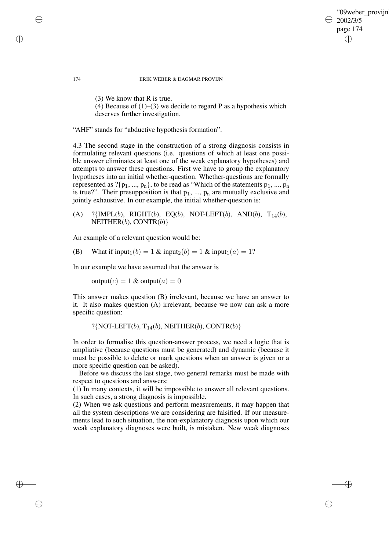# "09weber\_provijn" 2002/3/5 page 174 ✐ ✐

✐

✐

## 174 ERIK WEBER & DAGMAR PROVIJN

- (3) We know that R is true.
- (4) Because of  $(1)$ – $(3)$  we decide to regard P as a hypothesis which deserves further investigation.

"AHF" stands for "abductive hypothesis formation".

4.3 The second stage in the construction of a strong diagnosis consists in formulating relevant questions (i.e. questions of which at least one possible answer eliminates at least one of the weak explanatory hypotheses) and attempts to answer these questions. First we have to group the explanatory hypotheses into an initial whether-question. Whether-questions are formally represented as  $?\{p_1, ..., p_n\}$ , to be read as "Which of the statements  $p_1, ..., p_n$ is true?". Their presupposition is that  $p_1$ , ...,  $p_n$  are mutually exclusive and jointly exhaustive. In our example, the initial whether-question is:

(A) ?{IMPL $(b)$ , RIGHT $(b)$ , EQ $(b)$ , NOT-LEFT $(b)$ , AND $(b)$ , T<sub>14</sub> $(b)$ ,  $NEITHER(b), CONTR(b)\}$ 

An example of a relevant question would be:

(B) What if 
$$
\text{input}_1(b) = 1
$$
 &  $\text{input}_2(b) = 1$  &  $\text{input}_1(a) = 1$ ?

In our example we have assumed that the answer is

 $output(c) = 1$  & output $(a) = 0$ 

This answer makes question (B) irrelevant, because we have an answer to it. It also makes question (A) irrelevant, because we now can ask a more specific question:

?{NOT-LEFT(b),  $T_{14}(b)$ , NEITHER(b), CONTR(b)}

In order to formalise this question-answer process, we need a logic that is ampliative (because questions must be generated) and dynamic (because it must be possible to delete or mark questions when an answer is given or a more specific question can be asked).

Before we discuss the last stage, two general remarks must be made with respect to questions and answers:

(1) In many contexts, it will be impossible to answer all relevant questions. In such cases, a strong diagnosis is impossible.

(2) When we ask questions and perform measurements, it may happen that all the system descriptions we are considering are falsified. If our measurements lead to such situation, the non-explanatory diagnosis upon which our weak explanatory diagnoses were built, is mistaken. New weak diagnoses

✐

✐

✐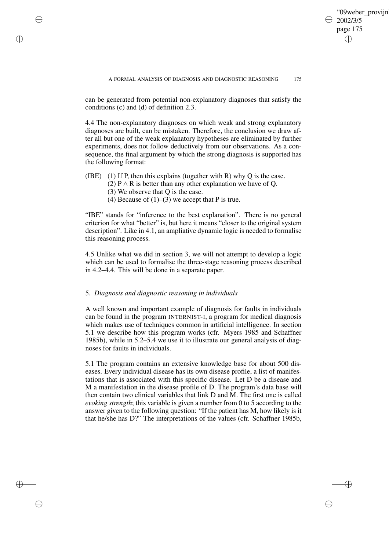'09weber\_proviin 2002/3/5 page 175 ✐ ✐

✐

✐

can be generated from potential non-explanatory diagnoses that satisfy the conditions (c) and (d) of definition 2.3.

4.4 The non-explanatory diagnoses on which weak and strong explanatory diagnoses are built, can be mistaken. Therefore, the conclusion we draw after all but one of the weak explanatory hypotheses are eliminated by further experiments, does not follow deductively from our observations. As a consequence, the final argument by which the strong diagnosis is supported has the following format:

- (IBE) (1) If P, then this explains (together with R) why O is the case.
	- (2) P  $\land$  R is better than any other explanation we have of O.
	- (3) We observe that Q is the case.

✐

✐

✐

✐

(4) Because of  $(1)$ – $(3)$  we accept that P is true.

"IBE" stands for "inference to the best explanation". There is no general criterion for what "better" is, but here it means "closer to the original system description". Like in 4.1, an ampliative dynamic logic is needed to formalise this reasoning process.

4.5 Unlike what we did in section 3, we will not attempt to develop a logic which can be used to formalise the three-stage reasoning process described in 4.2–4.4. This will be done in a separate paper.

## 5. *Diagnosis and diagnostic reasoning in individuals*

A well known and important example of diagnosis for faults in individuals can be found in the program INTERNIST-I, a program for medical diagnosis which makes use of techniques common in artificial intelligence. In section 5.1 we describe how this program works (cfr. Myers 1985 and Schaffner 1985b), while in 5.2–5.4 we use it to illustrate our general analysis of diagnoses for faults in individuals.

5.1 The program contains an extensive knowledge base for about 500 diseases. Every individual disease has its own disease profile, a list of manifestations that is associated with this specific disease. Let D be a disease and M a manifestation in the disease profile of D. The program's data base will then contain two clinical variables that link D and M. The first one is called *evoking strength*; this variable is given a number from 0 to 5 according to the answer given to the following question: "If the patient has M, how likely is it that he/she has D?" The interpretations of the values (cfr. Schaffner 1985b,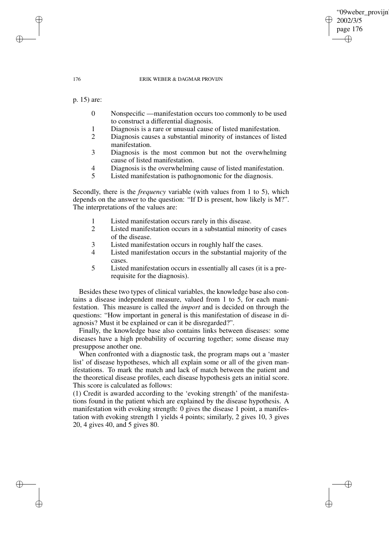### 176 ERIK WEBER & DAGMAR PROVIJN

p. 15) are:

0 Nonspecific —manifestation occurs too commonly to be used to construct a differential diagnosis.

09weber provijn

2002/3/5 page 176

✐

✐

✐

✐

- 1 Diagnosis is a rare or unusual cause of listed manifestation.
- 2 Diagnosis causes a substantial minority of instances of listed manifestation.
- 3 Diagnosis is the most common but not the overwhelming cause of listed manifestation.
- 4 Diagnosis is the overwhelming cause of listed manifestation.<br>5 Listed manifestation is pathognomonic for the diagnosis.
- Listed manifestation is pathognomonic for the diagnosis.

Secondly, there is the *frequency* variable (with values from 1 to 5), which depends on the answer to the question: "If D is present, how likely is M?". The interpretations of the values are:

- 1 Listed manifestation occurs rarely in this disease.<br>2 Listed manifestation occurs in a substantial minor
- Listed manifestation occurs in a substantial minority of cases of the disease.
- 3 Listed manifestation occurs in roughly half the cases.
- 4 Listed manifestation occurs in the substantial majority of the cases.
- 5 Listed manifestation occurs in essentially all cases (it is a prerequisite for the diagnosis).

Besides these two types of clinical variables, the knowledge base also contains a disease independent measure, valued from 1 to 5, for each manifestation. This measure is called the *import* and is decided on through the questions: "How important in general is this manifestation of disease in diagnosis? Must it be explained or can it be disregarded?".

Finally, the knowledge base also contains links between diseases: some diseases have a high probability of occurring together; some disease may presuppose another one.

When confronted with a diagnostic task, the program maps out a 'master list' of disease hypotheses, which all explain some or all of the given manifestations. To mark the match and lack of match between the patient and the theoretical disease profiles, each disease hypothesis gets an initial score. This score is calculated as follows:

(1) Credit is awarded according to the 'evoking strength' of the manifestations found in the patient which are explained by the disease hypothesis. A manifestation with evoking strength: 0 gives the disease 1 point, a manifestation with evoking strength 1 yields 4 points; similarly, 2 gives 10, 3 gives 20, 4 gives 40, and 5 gives 80.

✐

✐

✐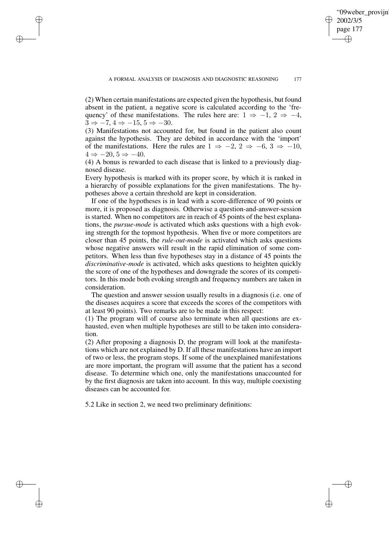✐

(2) When certain manifestations are expected given the hypothesis, but found absent in the patient, a negative score is calculated according to the 'frequency' of these manifestations. The rules here are:  $1 \Rightarrow -1, 2 \Rightarrow -4$ ,  $3 \Rightarrow -7, 4 \Rightarrow -15, 5 \Rightarrow -30.$ 

✐

✐

✐

✐

(3) Manifestations not accounted for, but found in the patient also count against the hypothesis. They are debited in accordance with the 'import' of the manifestations. Here the rules are  $1 \Rightarrow -2$ ,  $2 \Rightarrow -6$ ,  $3 \Rightarrow -10$ ,  $4 \Rightarrow -20, 5 \Rightarrow -40.$ 

(4) A bonus is rewarded to each disease that is linked to a previously diagnosed disease.

Every hypothesis is marked with its proper score, by which it is ranked in a hierarchy of possible explanations for the given manifestations. The hypotheses above a certain threshold are kept in consideration.

If one of the hypotheses is in lead with a score-difference of 90 points or more, it is proposed as diagnosis. Otherwise a question-and-answer-session is started. When no competitors are in reach of 45 points of the best explanations, the *pursue-mode* is activated which asks questions with a high evoking strength for the topmost hypothesis. When five or more competitors are closer than 45 points, the *rule-out-mode* is activated which asks questions whose negative answers will result in the rapid elimination of some competitors. When less than five hypotheses stay in a distance of 45 points the *discriminative-mode* is activated, which asks questions to heighten quickly the score of one of the hypotheses and downgrade the scores of its competitors. In this mode both evoking strength and frequency numbers are taken in consideration.

The question and answer session usually results in a diagnosis (i.e. one of the diseases acquires a score that exceeds the scores of the competitors with at least 90 points). Two remarks are to be made in this respect:

(1) The program will of course also terminate when all questions are exhausted, even when multiple hypotheses are still to be taken into consideration.

(2) After proposing a diagnosis D, the program will look at the manifestations which are not explained by D. If all these manifestations have an import of two or less, the program stops. If some of the unexplained manifestations are more important, the program will assume that the patient has a second disease. To determine which one, only the manifestations unaccounted for by the first diagnosis are taken into account. In this way, multiple coexisting diseases can be accounted for.

5.2 Like in section 2, we need two preliminary definitions: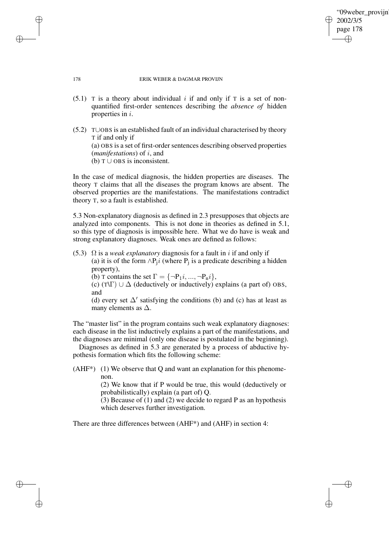# '09weber provijn 2002/3/5 page 178 ✐ ✐

✐

✐

## 178 ERIK WEBER & DAGMAR PROVIJN

- (5.1) T is a theory about individual i if and only if T is a set of nonquantified first-order sentences describing the *absence of* hidden properties in i.
- (5.2) T∪OBS is an established fault of an individual characterised by theory T if and only if (a) OBS is a set of first-order sentences describing observed properties (*manifestations*) of i, and (b)  $T \cup$  OBS is inconsistent.

In the case of medical diagnosis, the hidden properties are diseases. The theory T claims that all the diseases the program knows are absent. The observed properties are the manifestations. The manifestations contradict theory T, so a fault is established.

5.3 Non-explanatory diagnosis as defined in 2.3 presupposes that objects are analyzed into components. This is not done in theories as defined in 5.1, so this type of diagnosis is impossible here. What we do have is weak and strong explanatory diagnoses. Weak ones are defined as follows:

(5.3)  $\Omega$  is a *weak explanatory* diagnosis for a fault in *i* if and only if (a) it is of the form  $\land P_j$ *i* (where  $P_j$  is a predicate describing a hidden property),

(b) T contains the set  $\Gamma = \{\neg P_1 i, ..., \neg P_n i\},\$ 

(c) (T\ $\Gamma$ )  $\cup$   $\Delta$  (deductively or inductively) explains (a part of) OBS, and

(d) every set  $\Delta'$  satisfying the conditions (b) and (c) has at least as many elements as  $\Delta$ .

The "master list" in the program contains such weak explanatory diagnoses: each disease in the list inductively explains a part of the manifestations, and the diagnoses are minimal (only one disease is postulated in the beginning).

Diagnoses as defined in 5.3 are generated by a process of abductive hypothesis formation which fits the following scheme:

(AHF\*) (1) We observe that Q and want an explanation for this phenomenon.

(2) We know that if P would be true, this would (deductively or probabilistically) explain (a part of) Q.

(3) Because of (1) and (2) we decide to regard P as an hypothesis which deserves further investigation.

There are three differences between (AHF\*) and (AHF) in section 4:

✐

✐

✐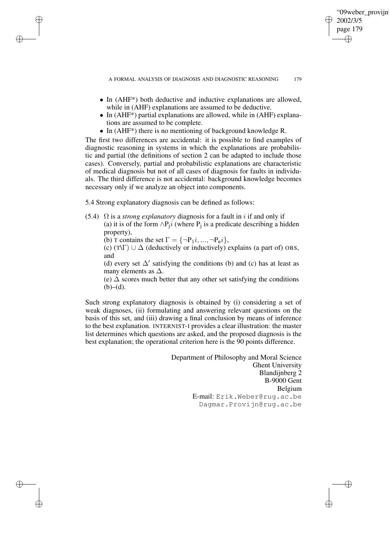"09weber\_provijn" 2002/3/5 page 179 ✐ ✐

✐

✐

- In (AHF\*) both deductive and inductive explanations are allowed, while in (AHF) explanations are assumed to be deductive.
- In (AHF<sup>\*</sup>) partial explanations are allowed, while in (AHF) explanations are assumed to be complete.
- In (AHF<sup>\*</sup>) there is no mentioning of background knowledge R.

The first two differences are accidental: it is possible to find examples of diagnostic reasoning in systems in which the explanations are probabilistic and partial (the definitions of section 2 can be adapted to include those cases). Conversely, partial and probabilistic explanations are characteristic of medical diagnosis but not of all cases of diagnosis for faults in individuals. The third difference is not accidental: background knowledge becomes necessary only if we analyze an object into components.

5.4 Strong explanatory diagnosis can be defined as follows:

✐

✐

✐

✐

(5.4)  $\Omega$  is a *strong explanatory* diagnosis for a fault in *i* if and only if (a) it is of the form  $\land$ P<sub>j</sub>i (where P<sub>j</sub> is a predicate describing a hidden property),

(b) T contains the set  $\Gamma = \{\neg P_1 i, ..., \neg P_n i\},\$ 

(c) (T\ $\Gamma$ )  $\cup$   $\Delta$  (deductively or inductively) explains (a part of) OBS, and

(d) every set  $\Delta'$  satisfying the conditions (b) and (c) has at least as many elements as  $\Delta$ .

(e)  $\Delta$  scores much better that any other set satisfying the conditions  $(b)–(d)$ .

Such strong explanatory diagnosis is obtained by (i) considering a set of weak diagnoses, (ii) formulating and answering relevant questions on the basis of this set, and (iii) drawing a final conclusion by means of inference to the best explanation. INTERNIST-I provides a clear illustration: the master list determines which questions are asked, and the proposed diagnosis is the best explanation; the operational criterion here is the 90 points difference.

> Department of Philosophy and Moral Science Ghent University Blandijnberg 2 B-9000 Gent Belgium E-mail: Erik.Weber@rug.ac.be Dagmar.Provijn@rug.ac.be